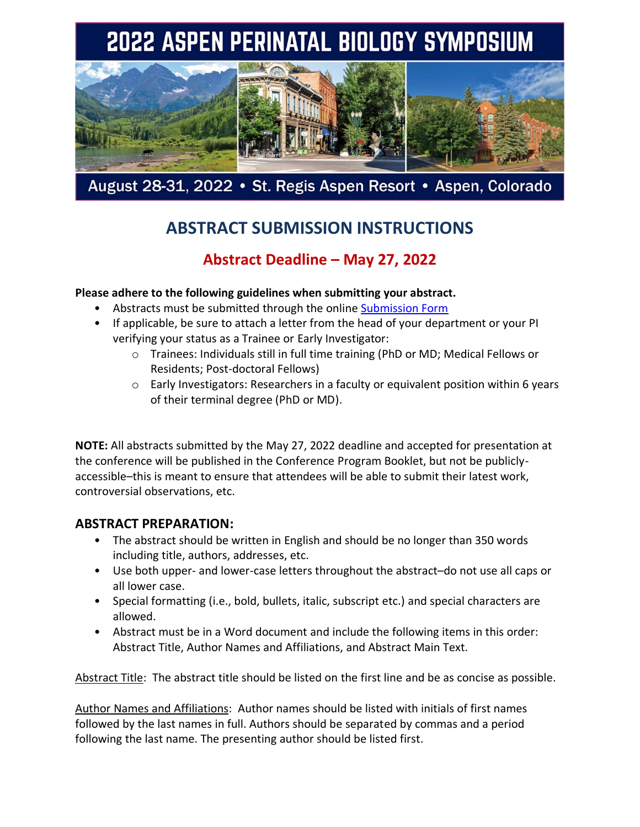# 2022 ASPEN PERINATAL BIOLOGY SYMPOSIUM



August 28-31, 2022 • St. Regis Aspen Resort • Aspen, Colorado

## **ABSTRACT SUBMISSION INSTRUCTIONS**

### **Abstract Deadline – May 27, 2022**

**Please adhere to the following guidelines when submitting your abstract.** 

- Abstracts must be submitted through the online [Submission Form](https://www.asas.org/meetings/perinatal-biology-symposium-2022/2022-perinatal-abstract-submission-form)
- If applicable, be sure to attach a letter from the head of your department or your PI verifying your status as a Trainee or Early Investigator:
	- o Trainees: Individuals still in full time training (PhD or MD; Medical Fellows or Residents; Post-doctoral Fellows)
	- o Early Investigators: Researchers in a faculty or equivalent position within 6 years of their terminal degree (PhD or MD).

**NOTE:** All abstracts submitted by the May 27, 2022 deadline and accepted for presentation at the conference will be published in the Conference Program Booklet, but not be publiclyaccessible–this is meant to ensure that attendees will be able to submit their latest work, controversial observations, etc.

#### **ABSTRACT PREPARATION:**

- The abstract should be written in English and should be no longer than 350 words including title, authors, addresses, etc.
- Use both upper- and lower-case letters throughout the abstract–do not use all caps or all lower case.
- Special formatting (i.e., bold, bullets, italic, subscript etc.) and special characters are allowed.
- Abstract must be in a Word document and include the following items in this order: Abstract Title, Author Names and Affiliations, and Abstract Main Text.

Abstract Title: The abstract title should be listed on the first line and be as concise as possible.

Author Names and Affiliations: Author names should be listed with initials of first names followed by the last names in full. Authors should be separated by commas and a period following the last name. The presenting author should be listed first.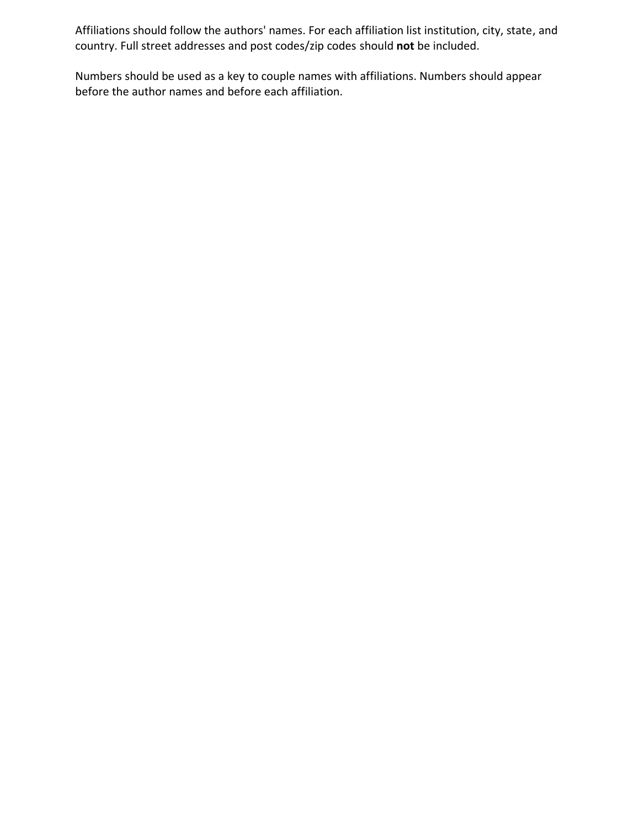Affiliations should follow the authors' names. For each affiliation list institution, city, state, and country. Full street addresses and post codes/zip codes should **not** be included.

Numbers should be used as a key to couple names with affiliations. Numbers should appear before the author names and before each affiliation.